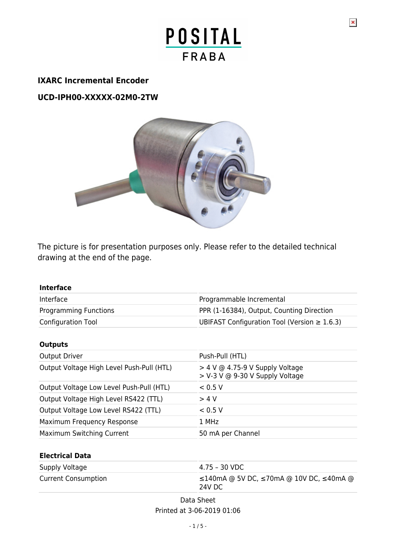### **IXARC Incremental Encoder**

**UCD-IPH00-XXXXX-02M0-2TW**



The picture is for presentation purposes only. Please refer to the detailed technical drawing at the end of the page.

| <b>Interface</b>                          |                                                                      |
|-------------------------------------------|----------------------------------------------------------------------|
| Interface                                 | Programmable Incremental                                             |
| Programming Functions                     | PPR (1-16384), Output, Counting Direction                            |
| <b>Configuration Tool</b>                 | UBIFAST Configuration Tool (Version $\geq 1.6.3$ )                   |
| <b>Outputs</b>                            |                                                                      |
| <b>Output Driver</b>                      | Push-Pull (HTL)                                                      |
| Output Voltage High Level Push-Pull (HTL) | $>$ 4 V @ 4.75-9 V Supply Voltage<br>> V-3 V @ 9-30 V Supply Voltage |
| Output Voltage Low Level Push-Pull (HTL)  | < 0.5 V                                                              |
| Output Voltage High Level RS422 (TTL)     | > 4 V                                                                |
| Output Voltage Low Level RS422 (TTL)      | < 0.5 V                                                              |
| Maximum Frequency Response                | 1 MHz                                                                |
| Maximum Switching Current                 | 50 mA per Channel                                                    |
| <b>Electrical Data</b>                    |                                                                      |
| Supply Voltage                            | $4.75 - 30$ VDC                                                      |
| <b>Current Consumption</b>                | ≤140mA @ 5V DC, ≤70mA @ 10V DC, ≤40mA @<br>24V DC                    |

Data Sheet Printed at 3-06-2019 01:06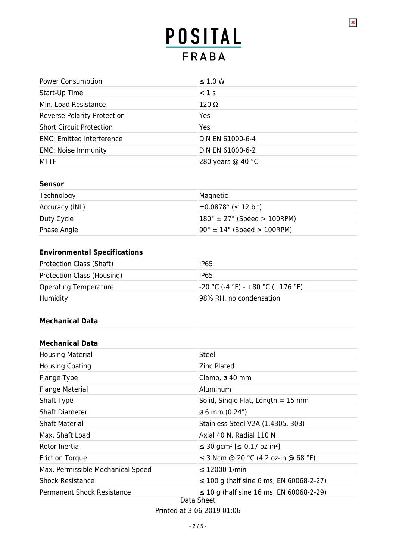$\pmb{\times}$ 

| <b>Power Consumption</b>           | $\leq$ 1.0 W      |
|------------------------------------|-------------------|
| Start-Up Time                      | $<$ 1 s           |
| Min. Load Resistance               | $120 \Omega$      |
| <b>Reverse Polarity Protection</b> | Yes               |
| <b>Short Circuit Protection</b>    | Yes               |
| <b>EMC: Emitted Interference</b>   | DIN EN 61000-6-4  |
| <b>EMC: Noise Immunity</b>         | DIN EN 61000-6-2  |
| <b>MTTF</b>                        | 280 years @ 40 °C |

#### **Sensor**

| Technology     | Magnetic                                      |
|----------------|-----------------------------------------------|
| Accuracy (INL) | $\pm 0.0878$ ° ( $\leq 12$ bit)               |
| Duty Cycle     | $180^{\circ} \pm 27^{\circ}$ (Speed > 100RPM) |
| Phase Angle    | $90^\circ \pm 14^\circ$ (Speed > 100RPM)      |

## **Environmental Specifications**

| <b>Protection Class (Shaft)</b> | IP65                                |
|---------------------------------|-------------------------------------|
| Protection Class (Housing)      | IP65                                |
| <b>Operating Temperature</b>    | $-20$ °C (-4 °F) - +80 °C (+176 °F) |
| Humidity                        | 98% RH, no condensation             |

#### **Mechanical Data**

#### **Mechanical Data**

| <b>Housing Material</b>           | Steel                                                      |
|-----------------------------------|------------------------------------------------------------|
| <b>Housing Coating</b>            | <b>Zinc Plated</b>                                         |
| Flange Type                       | Clamp, ø 40 mm                                             |
| <b>Flange Material</b>            | Aluminum                                                   |
| Shaft Type                        | Solid, Single Flat, Length $= 15$ mm                       |
| <b>Shaft Diameter</b>             | $\emptyset$ 6 mm (0.24")                                   |
| Shaft Material                    | Stainless Steel V2A (1.4305, 303)                          |
| Max. Shaft Load                   | Axial 40 N, Radial 110 N                                   |
| Rotor Inertia                     | ≤ 30 gcm <sup>2</sup> [≤ 0.17 oz-in <sup>2</sup> ]         |
| <b>Friction Torque</b>            | ≤ 3 Ncm @ 20 °C (4.2 oz-in @ 68 °F)                        |
| Max. Permissible Mechanical Speed | $\leq$ 12000 1/min                                         |
| <b>Shock Resistance</b>           | $\leq$ 100 g (half sine 6 ms, EN 60068-2-27)               |
| Permanent Shock Resistance        | $\leq$ 10 g (half sine 16 ms, EN 60068-2-29)<br>Data Sheet |

Printed at 3-06-2019 01:06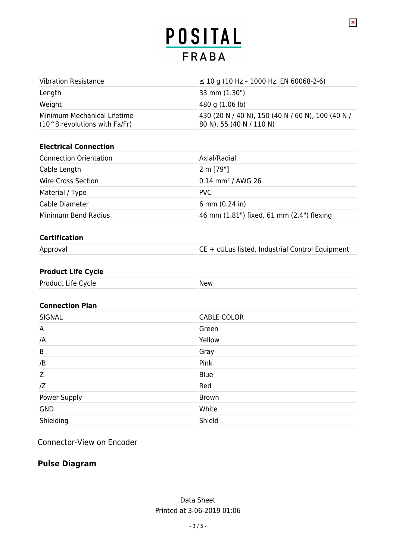| <b>Vibration Resistance</b>                                    | $\leq$ 10 g (10 Hz – 1000 Hz, EN 60068-2-6)                                   |
|----------------------------------------------------------------|-------------------------------------------------------------------------------|
| Length                                                         | 33 mm (1.30")                                                                 |
| Weight                                                         | 480 g (1.06 lb)                                                               |
| Minimum Mechanical Lifetime<br>$(10^8$ revolutions with Fa/Fr) | 430 (20 N / 40 N), 150 (40 N / 60 N), 100 (40 N /<br>80 N), 55 (40 N / 110 N) |

#### **Electrical Connection**

| <b>Connection Orientation</b> | Axial/Radial                              |
|-------------------------------|-------------------------------------------|
| Cable Length                  | 2 m [79"]                                 |
| Wire Cross Section            | $0.14$ mm <sup>2</sup> / AWG 26           |
| Material / Type               | PVC.                                      |
| Cable Diameter                | 6 mm $(0.24$ in)                          |
| Minimum Bend Radius           | 46 mm (1.81") fixed, 61 mm (2.4") flexing |

### **Certification**

Approval CE + cULus listed, Industrial Control Equipment

 $\pmb{\times}$ 

#### **Product Life Cycle**

| Product Life Cycle | New |
|--------------------|-----|
|                    |     |

#### **Connection Plan**

| SIGNAL       | <b>CABLE COLOR</b> |
|--------------|--------------------|
| A            | Green              |
| /A           | Yellow             |
| B            | Gray               |
| /B           | Pink               |
| Z            | Blue               |
| Z            | Red                |
| Power Supply | Brown              |
| <b>GND</b>   | White              |
| Shielding    | Shield             |
|              |                    |

Connector-View on Encoder

### **Pulse Diagram**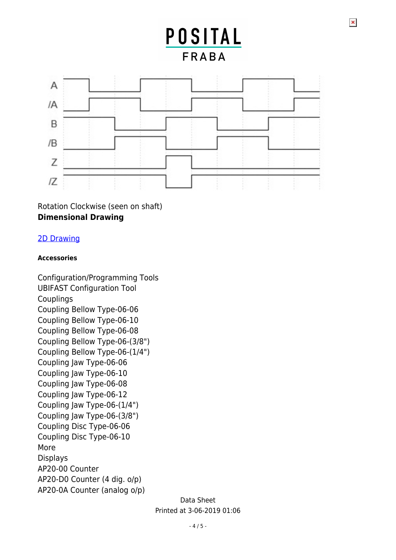$\pmb{\times}$ 



Rotation Clockwise (seen on shaft) **Dimensional Drawing**

## [2D Drawing](http://www.posital.com/en/system/webservices/product-drawing.php?i1=aHR0cHM6Ly93d3cucG9zaXRhbC5jb20vbWVkaWEvcG9zaXRhbF9mc2ltZy9kcmF3aW5nLXVjZC0wMm0wLXEzYS1uXzk1MHhYLnBuZw==&i2=aHR0cHM6Ly93d3cucG9zaXRhbC5jb20vbWVkaWEvcG9zaXRhbF9mc2ltZy9kcmF3aW5nLW1jLTMtY3gtMzIwLXN4bS0wOWIwOWItbi0ydHctbl85NTB4WC5wbmc=&i3=&p=VUNELUlQSDAwLVhYWFhYLTAyTTAtMlRX)

#### **Accessories**

Configuration/Programming Tools UBIFAST Configuration Tool Couplings Coupling Bellow Type-06-06 Coupling Bellow Type-06-10 Coupling Bellow Type-06-08 Coupling Bellow Type-06-(3/8") Coupling Bellow Type-06-(1/4") Coupling Jaw Type-06-06 Coupling Jaw Type-06-10 Coupling Jaw Type-06-08 Coupling Jaw Type-06-12 Coupling Jaw Type-06-(1/4") Coupling Jaw Type-06-(3/8") Coupling Disc Type-06-06 Coupling Disc Type-06-10 More Displays AP20-00 Counter AP20-D0 Counter (4 dig. o/p) AP20-0A Counter (analog o/p)

> Data Sheet Printed at 3-06-2019 01:06